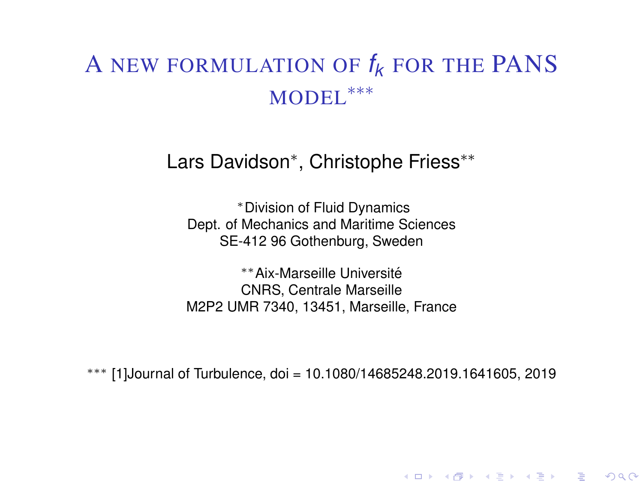# <span id="page-0-0"></span>A NEW FORMULATION OF *f<sup>k</sup>* FOR THE PANS MODEL<sup>\*\*\*</sup>

### Lars Davidson<sup>∗</sup> , Christophe Friess∗∗

<sup>∗</sup>Division of Fluid Dynamics Dept. of Mechanics and Maritime Sciences SE-412 96 Gothenburg, Sweden

∗∗Aix-Marseille Universite´ CNRS, Centrale Marseille M2P2 UMR 7340, 13451, Marseille, France

∗∗∗ [\[1\]](#page-6-0)Journal of Turbulence, doi = 10.1080/14685248.2019.1641605, 2019

K □ ▶ K @ ▶ K 할 ▶ K 할 ▶ 이 할 → 90 Q @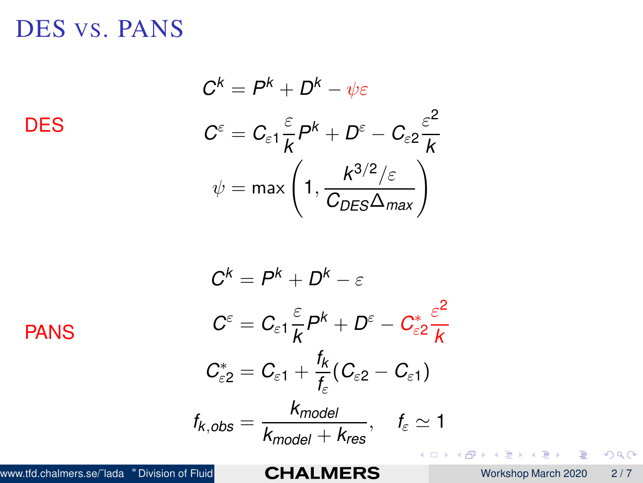<span id="page-1-0"></span>DES VS. PANS

**DES** 

 $C^k = P^k + D^k - \psi \varepsilon$  $C^{\varepsilon} = C_{\varepsilon 1} \frac{\varepsilon}{k}$  $\frac{\varepsilon}{k}P^k+D^\varepsilon-C_{\varepsilon 2}\frac{\varepsilon^2}{k}$ *k*  $\psi = \mathsf{max}\left(1, \frac{K^{3/2}/\varepsilon}{C_{DE\mathsf{S}}\Delta_{\mathsf{max}}}\right).$ 

 $C^k = P^k + D^k - \varepsilon$  $C^{\varepsilon} = C_{\varepsilon 1} \frac{\varepsilon}{k}$  $\frac{\varepsilon}{k}P^k + D^{\varepsilon} - C^*_{\varepsilon k}$ ε2  $\varepsilon^2$ *k*  $C_{\varepsilon2}^* = C_{\varepsilon1} + \frac{f_k}{f_k}$  $\frac{r_{\kappa}}{f_{\varepsilon}}(C_{\varepsilon2}-C_{\varepsilon1})$  $f_{k,obs} = \frac{k_{model}}{k_{model}}$  $\frac{R_{model}}{k_{model} + k_{res}}, \quad f_{\varepsilon} \simeq 1$ PANS www.tfd.chalmers.se/~lada \*Division of Fluid **CHALMERS** Workshop March 2020 2/7

 $\Omega$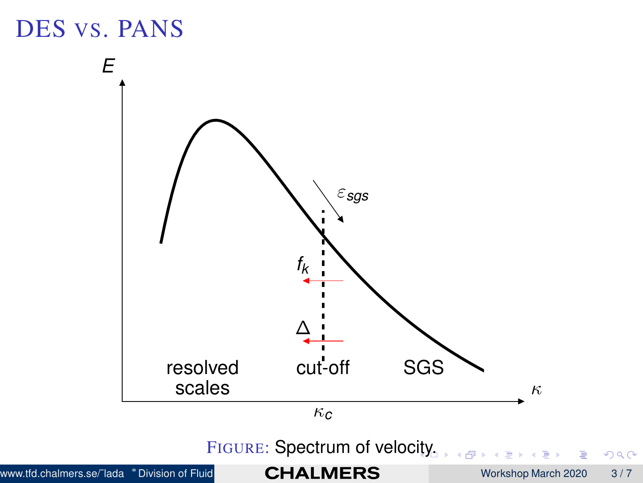<span id="page-2-0"></span>

 $2980$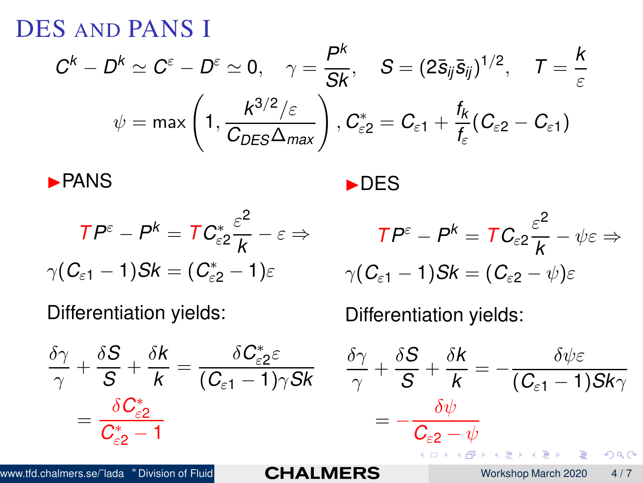DES AND PANS I

$$
C^{k} - D^{k} \simeq C^{\varepsilon} - D^{\varepsilon} \simeq 0, \quad \gamma = \frac{P^{k}}{Sk}, \quad S = (2\bar{s}_{ij}\bar{s}_{ij})^{1/2}, \quad T = \frac{k}{\varepsilon}
$$

$$
\psi = \max\left(1, \frac{k^{3/2}/\varepsilon}{C_{DES}\Delta_{max}}\right), C_{\varepsilon 2}^{*} = C_{\varepsilon 1} + \frac{t_{k}}{t_{\varepsilon}}(C_{\varepsilon 2} - C_{\varepsilon 1})
$$

◮DES

$$
\blacktriangleright
$$
 PANS

$$
TP^{\varepsilon} - P^k = TC_{\varepsilon 2}^* \frac{\varepsilon^2}{k} - \varepsilon \Rightarrow
$$

$$
\gamma (C_{\varepsilon 1} - 1)Sk = (C_{\varepsilon 2}^* - 1)\varepsilon
$$

Differentiation yields:

$$
\frac{\delta \gamma}{\gamma} + \frac{\delta S}{S} + \frac{\delta k}{k} = \frac{\delta C_{\varepsilon 2}^* \varepsilon}{(C_{\varepsilon 1} - 1)\gamma Sk}
$$

$$
= \frac{\delta C_{\varepsilon 2}^*}{C_{\varepsilon 2}^* - 1}
$$

$$
TP^{\varepsilon} - P^{k} = TC_{\varepsilon 2} \frac{\varepsilon^{2}}{k} - \psi \varepsilon \Rightarrow
$$

$$
\gamma (C_{\varepsilon 1} - 1) Sk = (C_{\varepsilon 2} - \psi) \varepsilon
$$

Differentiation yields:

$$
\frac{\delta \gamma}{\gamma} + \frac{\delta S}{S} + \frac{\delta k}{k} = -\frac{\delta \psi \varepsilon}{(C_{\varepsilon 1} - 1) S k \gamma}
$$

$$
= -\frac{\delta \psi}{C_{\varepsilon 2} - \psi}
$$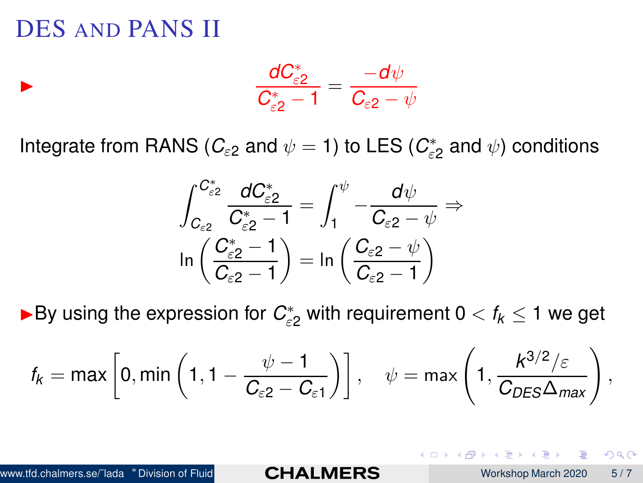### <span id="page-4-0"></span>DES AND PANS II

◮

$$
\frac{dC_{\varepsilon2}^*}{C_{\varepsilon2}^*-1}=\frac{-d\psi}{C_{\varepsilon2}-\psi}
$$

Integrate from RANS ( $\mathcal{C}_{\varepsilon 2}$  and  $\psi =$  1) to LES ( $\mathcal{C}_{\varepsilon}^*$  $\vec{\varepsilon}_{\varepsilon2}$  and  $\psi$ ) conditions

$$
\int_{C_{\varepsilon2}}^{C_{\varepsilon2}^*} \frac{dC_{\varepsilon2}^*}{C_{\varepsilon2}^*-1} = \int_1^\psi -\frac{d\psi}{C_{\varepsilon2} - \psi} \Rightarrow
$$
  

$$
\ln\left(\frac{C_{\varepsilon2}^*-1}{C_{\varepsilon2}-1}\right) = \ln\left(\frac{C_{\varepsilon2} - \psi}{C_{\varepsilon2}-1}\right)
$$

►By using the expression for  $C_{\varepsilon2}^*$  with requirement 0  $< f_k \leq 1$  we get

$$
f_k = \max\left[0, \min\left(1, 1 - \frac{\psi - 1}{C_{\varepsilon 2} - C_{\varepsilon 1}}\right)\right], \quad \psi = \max\left(1, \frac{k^{3/2}/\varepsilon}{C_{DES}\Delta_{max}}\right),
$$

 $\Omega$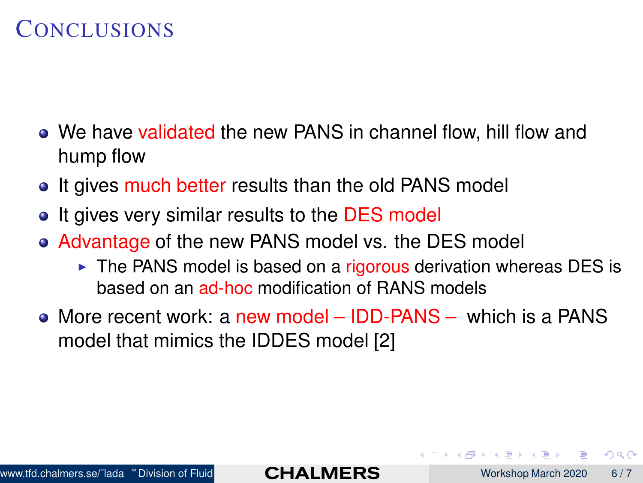#### **CONCLUSIONS**

- We have validated the new PANS in channel flow, hill flow and hump flow
- It gives much better results than the old PANS model
- It gives very similar results to the DES model  $\bullet$
- Advantage of the new PANS model vs. the DES model
	- ► The PANS model is based on a rigorous derivation whereas DES is based on an ad-hoc modification of RANS models
- More recent work: a new model IDD-PANS which is a PANS model that mimics the IDDES model [\[2\]](#page-6-1)

റാ റ